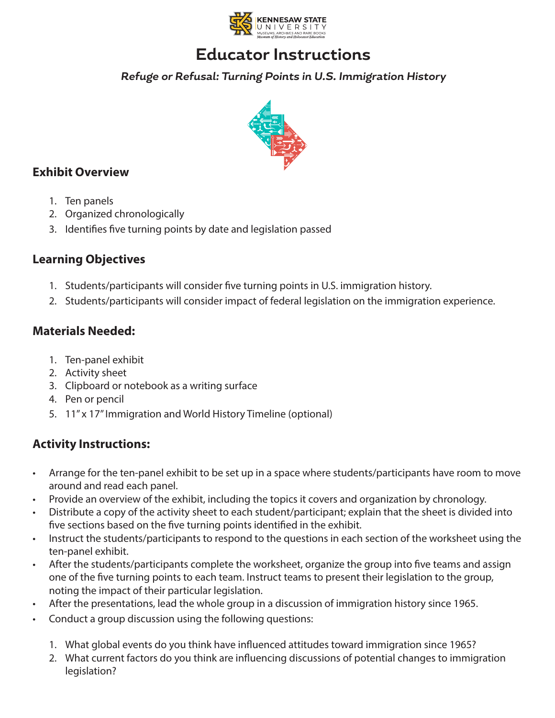

### **Educator Instructions**

**Refuge or Refusal: Turning Points in U.S. Immigration History**



#### **Exhibit Overview**

- 1. Ten panels
- 2. Organized chronologically
- 3. Identifies five turning points by date and legislation passed

#### **Learning Objectives**

- 1. Students/participants will consider five turning points in U.S. immigration history.
- 2. Students/participants will consider impact of federal legislation on the immigration experience.

#### **Materials Needed:**

- 1. Ten-panel exhibit
- 2. Activity sheet
- 3. Clipboard or notebook as a writing surface
- 4. Pen or pencil
- 5. 11" x 17" Immigration and World History Timeline (optional)

#### **Activity Instructions:**

- Arrange for the ten-panel exhibit to be set up in a space where students/participants have room to move around and read each panel.
- Provide an overview of the exhibit, including the topics it covers and organization by chronology.
- Distribute a copy of the activity sheet to each student/participant; explain that the sheet is divided into five sections based on the five turning points identified in the exhibit.
- Instruct the students/participants to respond to the questions in each section of the worksheet using the ten-panel exhibit.
- After the students/participants complete the worksheet, organize the group into five teams and assign one of the five turning points to each team. Instruct teams to present their legislation to the group, noting the impact of their particular legislation.
- After the presentations, lead the whole group in a discussion of immigration history since 1965.
- Conduct a group discussion using the following questions:
	- 1. What global events do you think have influenced attitudes toward immigration since 1965?
	- 2. What current factors do you think are influencing discussions of potential changes to immigration legislation?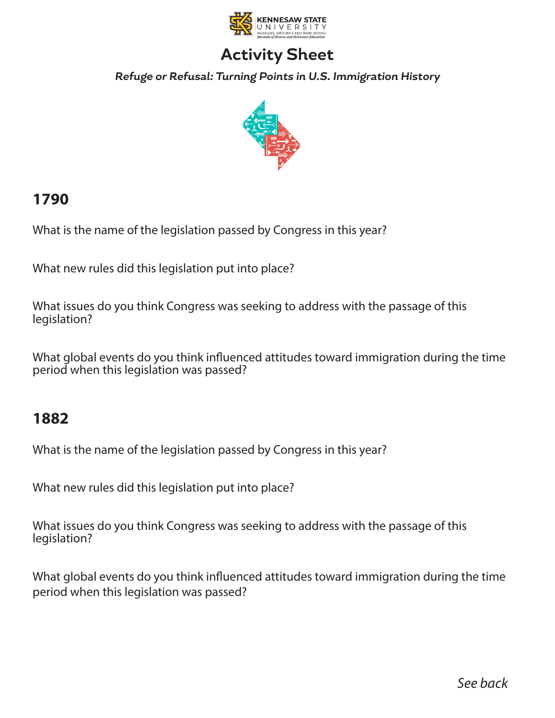

# **Activity Sheet**

**Refuge or Refusal: Turning Points in U.S. Immigration History**



### **1790**

What is the name of the legislation passed by Congress in this year?

What new rules did this legislation put into place?

What issues do you think Congress was seeking to address with the passage of this legislation?

What global events do you think influenced attitudes toward immigration during the time period when this legislation was passed?

### **1882**

What is the name of the legislation passed by Congress in this year?

What new rules did this legislation put into place?

What issues do you think Congress was seeking to address with the passage of this legislation?

What global events do you think influenced attitudes toward immigration during the time period when this legislation was passed?